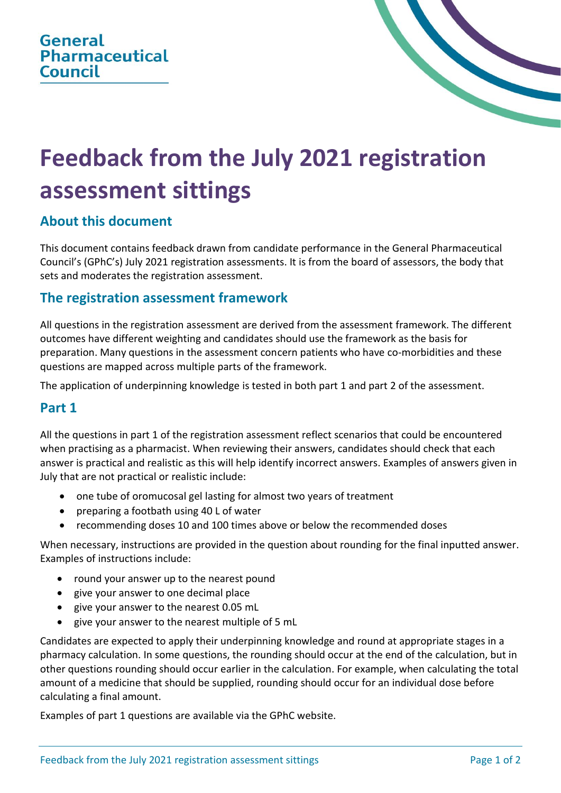

# **Feedback from the July 2021 registration assessment sittings**

## **About this document**

This document contains feedback drawn from candidate performance in the General Pharmaceutical Council's (GPhC's) July 2021 registration assessments. It is from the board of assessors, the body that sets and moderates the registration assessment.

#### **The registration assessment framework**

All questions in the registration assessment are derived from the assessment framework. The different outcomes have different weighting and candidates should use the framework as the basis for preparation. Many questions in the assessment concern patients who have co-morbidities and these questions are mapped across multiple parts of the framework.

The application of underpinning knowledge is tested in both part 1 and part 2 of the assessment.

#### **Part 1**

All the questions in part 1 of the registration assessment reflect scenarios that could be encountered when practising as a pharmacist. When reviewing their answers, candidates should check that each answer is practical and realistic as this will help identify incorrect answers. Examples of answers given in July that are not practical or realistic include:

- one tube of oromucosal gel lasting for almost two years of treatment
- preparing a footbath using 40 L of water
- recommending doses 10 and 100 times above or below the recommended doses

When necessary, instructions are provided in the question about rounding for the final inputted answer. Examples of instructions include:

- round your answer up to the nearest pound
- give your answer to one decimal place
- give your answer to the nearest 0.05 mL
- give your answer to the nearest multiple of 5 mL

Candidates are expected to apply their underpinning knowledge and round at appropriate stages in a pharmacy calculation. In some questions, the rounding should occur at the end of the calculation, but in other questions rounding should occur earlier in the calculation. For example, when calculating the total amount of a medicine that should be supplied, rounding should occur for an individual dose before calculating a final amount.

Examples of part 1 questions are available via the GPhC website.